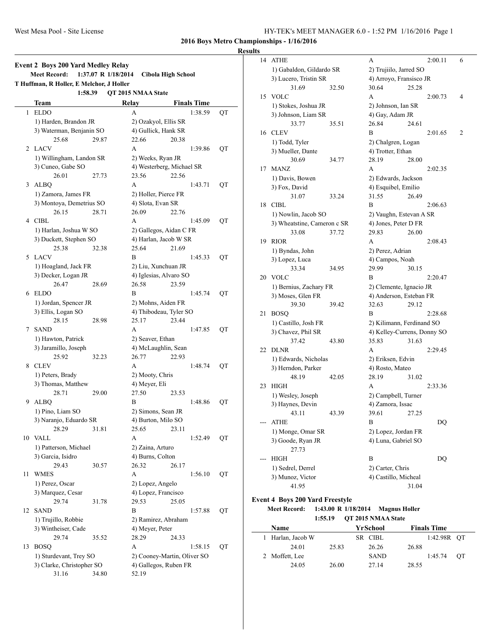#### **Results**

|    | <b>Event 2 Boys 200 Yard Medley Relay</b><br><b>Meet Record:</b> | 1:37.07 R 1/18/2014 |                        | <b>Cibola High School</b>   |    |
|----|------------------------------------------------------------------|---------------------|------------------------|-----------------------------|----|
|    | T Huffman, R Holler, E Melchor, J Holler                         |                     |                        |                             |    |
|    | 1:58.39                                                          |                     | QT 2015 NMAA State     |                             |    |
|    | Team                                                             |                     | Relay                  | <b>Finals Time</b>          |    |
| 1  | <b>ELDO</b>                                                      |                     | А                      | 1:38.59                     | QT |
|    | 1) Harden, Brandon JR                                            |                     | 2) Ozakyol, Ellis SR   |                             |    |
|    | 3) Waterman, Benjanin SO                                         |                     | 4) Gullick, Hank SR    |                             |    |
|    | 25.68                                                            | 29.87               | 22.66                  | 20.38                       |    |
|    | 2 LACV                                                           |                     | A                      | 1:39.86                     | QT |
|    | 1) Willingham, Landon SR                                         |                     | 2) Weeks, Ryan JR      |                             |    |
|    | 3) Cuneo, Gabe SO                                                |                     |                        | 4) Westerberg, Michael SR   |    |
|    | 26.01                                                            | 27.73               | 23.56                  | 22.56                       |    |
| 3  | ALBO                                                             |                     | A                      | 1:43.71                     | QT |
|    | 1) Zamora, James FR                                              |                     | 2) Holler, Pierce FR   |                             |    |
|    | 3) Montoya, Demetrius SO                                         |                     | 4) Slota, Evan SR      |                             |    |
|    | 26.15                                                            | 28.71               | 26.09                  | 22.76                       |    |
|    | 4 CIBL                                                           |                     | A                      | 1:45.09                     | QT |
|    | 1) Harlan, Joshua W SO                                           |                     |                        | 2) Gallegos, Aidan C FR     |    |
|    | 3) Duckett, Stephen SO                                           |                     |                        | 4) Harlan, Jacob W SR       |    |
|    | 25.38                                                            | 32.38               | 25.64                  | 21.69                       |    |
| 5  | LACV                                                             |                     | B                      | 1:45.33                     | QT |
|    | 1) Hoagland, Jack FR                                             |                     | 2) Liu, Xunchuan JR    |                             |    |
|    | 3) Decker, Logan JR                                              |                     | 4) Iglesias, Alvaro SO |                             |    |
|    | 26.47                                                            | 28.69               | 26.58                  | 23.59                       |    |
|    | 6 ELDO                                                           |                     | В                      | 1:45.74                     | QT |
|    | 1) Jordan, Spencer JR                                            |                     | 2) Mohns, Aiden FR     |                             |    |
|    | 3) Ellis, Logan SO                                               |                     |                        | 4) Thibodeau, Tyler SO      |    |
|    | 28.15                                                            | 28.98               | 25.17                  | 23.44                       |    |
| 7  | <b>SAND</b>                                                      |                     | A                      | 1:47.85                     | QT |
|    | 1) Hawton, Patrick                                               |                     | 2) Seaver, Ethan       |                             |    |
|    | 3) Jaramillo, Joseph                                             |                     | 4) McLaughlin, Sean    |                             |    |
|    | 25.92                                                            | 32.23               | 26.77                  | 22.93                       |    |
| 8  | <b>CLEV</b>                                                      |                     | A                      | 1:48.74                     | QT |
|    | 1) Peters, Brady                                                 |                     | 2) Mooty, Chris        |                             |    |
|    | 3) Thomas, Matthew                                               |                     | 4) Meyer, Eli          |                             |    |
|    | 28.71                                                            | 29.00               | 27.50                  | 23.53                       |    |
| 9  | <b>ALBQ</b>                                                      |                     | B                      | 1:48.86                     | QT |
|    | 1) Pino, Liam SO                                                 |                     | 2) Simons, Sean JR     |                             |    |
|    | 3) Naranjo, Eduardo SR                                           |                     | 4) Burton, Milo SO     |                             |    |
|    | 28.29                                                            | 31.81               | 25.65                  | 23.11                       |    |
|    | 10 VALL                                                          |                     | A                      | 1:52.49                     | QT |
|    | 1) Patterson, Michael                                            |                     | 2) Zaina, Arturo       |                             |    |
|    | 3) Garcia, Isidro                                                |                     | 4) Burns, Colton       |                             |    |
|    | 29.43                                                            | 30.57               | 26.32                  | 26.17                       |    |
| 11 | <b>WMES</b>                                                      |                     | A                      | 1:56.10                     | QT |
|    | 1) Perez, Oscar                                                  |                     | 2) Lopez, Angelo       |                             |    |
|    | 3) Marquez, Cesar                                                |                     | 4) Lopez, Francisco    |                             |    |
|    | 29.74                                                            | 31.78               | 29.53                  | 25.05                       |    |
| 12 | <b>SAND</b>                                                      |                     | B                      | 1:57.88                     | QT |
|    | 1) Trujillo, Robbie                                              |                     | 2) Ramirez, Abraham    |                             |    |
|    | 3) Wintheiser, Cade                                              |                     | 4) Meyer, Peter        |                             |    |
|    | 29.74                                                            | 35.52               | 28.29                  | 24.33                       |    |
| 13 | <b>BOSQ</b>                                                      |                     | A                      | 1:58.15                     | QT |
|    | 1) Sturdevant, Trey SO                                           |                     |                        | 2) Cooney-Martin, Oliver SO |    |
|    | 3) Clarke, Christopher SO                                        |                     |                        | 4) Gallegos, Ruben FR       |    |
|    | 31.16                                                            | 34.80               | 52.19                  |                             |    |

| 14 | ATHE                        |                         | А                           |       | 2:00.11 | 6       |  |  |
|----|-----------------------------|-------------------------|-----------------------------|-------|---------|---------|--|--|
|    | 1) Gabaldon, Gildardo SR    |                         | 2) Trujiilo, Jarred SO      |       |         |         |  |  |
|    | 3) Lucero, Tristin SR       |                         | 4) Arroyo, Fransisco JR     |       |         |         |  |  |
|    | 31.69                       | 32.50                   | 30.64                       | 25.28 |         |         |  |  |
| 15 | <b>VOLC</b>                 |                         | А                           |       | 2:00.73 | 4       |  |  |
|    | 1) Stokes, Joshua JR        |                         | 2) Johnson, Ian SR          |       |         |         |  |  |
|    | 3) Johnson, Liam SR         | 4) Gay, Adam JR         |                             |       |         |         |  |  |
|    | 33.77                       | 35.51                   | 26.84                       | 24.61 |         |         |  |  |
| 16 | <b>CLEV</b>                 |                         | В                           |       | 2:01.65 | 2       |  |  |
|    | 1) Todd, Tyler              |                         | 2) Chalgren, Logan          |       |         |         |  |  |
|    | 3) Mueller, Dante           |                         | 4) Trotter, Ethan           |       |         |         |  |  |
|    | 30.69                       | 34.77                   | 28.19                       | 28.00 |         |         |  |  |
| 17 | <b>MANZ</b>                 |                         | A                           |       | 2:02.35 |         |  |  |
|    | 1) Davis, Bowen             |                         | 2) Edwards, Jackson         |       |         |         |  |  |
|    | 3) Fox, David               |                         | 4) Esquibel, Emilio         |       |         |         |  |  |
|    | 31.07                       | 33.24                   | 31.55                       | 26.49 |         |         |  |  |
| 18 | <b>CIBL</b>                 |                         | B                           |       | 2:06.63 |         |  |  |
|    | 1) Nowlin, Jacob SO         | 2) Vaughn, Estevan A SR |                             |       |         |         |  |  |
|    | 3) Wheatstine, Cameron c SR |                         | 4) Jones, Peter D FR        |       |         |         |  |  |
|    | 33.08                       | 37.72                   | 29.83                       | 26.00 |         |         |  |  |
| 19 | <b>RIOR</b>                 |                         | A                           |       | 2:08.43 |         |  |  |
|    | 1) Byndas, John             |                         | 2) Perez, Adrian            |       |         |         |  |  |
|    | 3) Lopez, Luca              |                         | 4) Campos, Noah             |       |         | 2:20.47 |  |  |
|    | 33.34                       | 34.95                   | 29.99                       | 30.15 |         |         |  |  |
| 20 | <b>VOLC</b>                 |                         | B                           |       |         |         |  |  |
|    | 1) Bernius, Zachary FR      |                         | 2) Clemente, Ignacio JR     |       |         |         |  |  |
|    | 3) Moses, Glen FR           |                         | 4) Anderson, Esteban FR     |       |         |         |  |  |
|    | 39.30                       | 39.42                   | 32.63                       | 29.12 |         |         |  |  |
| 21 | <b>BOSQ</b>                 |                         | B                           |       | 2:28.68 |         |  |  |
|    | 1) Castillo, Josh FR        |                         | 2) Kilimann, Ferdinand SO   |       |         |         |  |  |
|    | 3) Chavez, Phil SR          |                         | 4) Kelley-Currens, Donny SO |       |         |         |  |  |
|    | 37.42                       | 43.80                   | 35.83                       | 31.63 |         |         |  |  |
| 22 | <b>DLNR</b>                 |                         | A                           |       | 2:29.45 |         |  |  |
|    | 1) Edwards, Nicholas        |                         | 2) Eriksen, Edvin           |       |         |         |  |  |
|    | 3) Herndon, Parker          |                         | 4) Rosto, Mateo             |       |         |         |  |  |
|    | 48.19                       | 42.05                   | 28.19                       | 31.02 |         |         |  |  |
| 23 | <b>HIGH</b>                 |                         | А                           |       | 2:33.36 |         |  |  |
|    | 1) Wesley, Joseph           |                         | 2) Campbell, Turner         |       |         |         |  |  |
|    | 3) Haynes, Devin            |                         | 4) Zamora, Issac            |       |         |         |  |  |
|    | 43.11                       | 43.39                   | 39.61                       | 27.25 |         |         |  |  |
|    | ATHE                        |                         | B                           |       | DQ      |         |  |  |
|    | 1) Monge, Omar SR           |                         | 2) Lopez, Jordan FR         |       |         |         |  |  |
|    | 3) Goode, Ryan JR           |                         | 4) Luna, Gabriel SO         |       |         |         |  |  |
|    | 27.73                       |                         |                             |       |         |         |  |  |
|    | HIGH                        |                         | B                           |       | DQ      |         |  |  |
|    | 1) Sedrel, Derrel           |                         | 2) Carter, Chris            |       |         |         |  |  |
|    | 3) Munoz, Victor            |                         | 4) Castillo, Micheal        |       |         |         |  |  |
|    | 41.95                       |                         |                             | 31.04 |         |         |  |  |
|    |                             |                         |                             |       |         |         |  |  |

# **Event 4 Boys 200 Yard Freestyle**

 $\sim$ 

# **Meet Record: 1:43.00 R 1/18/2014 Magnus Holler 1:55.19 QT 2015 NMAA State**

| <b>Name</b>     |       |  | YrSchool    | <b>Finals Time</b> |             |    |
|-----------------|-------|--|-------------|--------------------|-------------|----|
| Harlan, Jacob W |       |  | SR CIBL     |                    | 1:42.98R OT |    |
| 24.01           | 25.83 |  | 26.26       | 26.88              |             |    |
| 2 Moffett, Lee  |       |  | <b>SAND</b> |                    | 1:45.74     | OТ |
| 24.05           | 26.00 |  | 27.14       | 28.55              |             |    |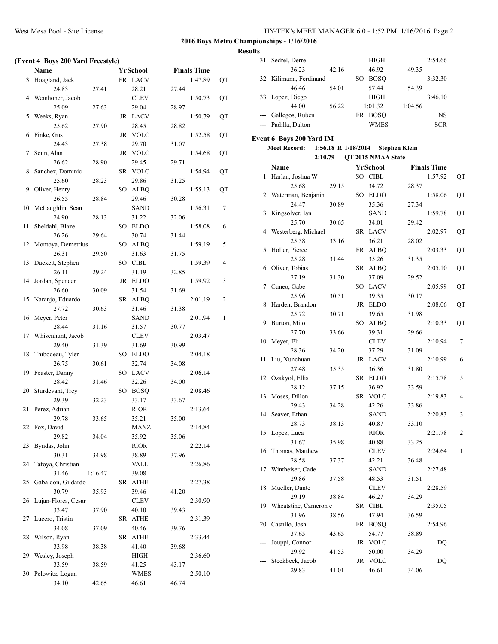| HY-TEK's MEET MANAGER 6.0 - 1:52 PM 1/16/2016 Page 2 |  |  |
|------------------------------------------------------|--|--|
|------------------------------------------------------|--|--|

## **Results**

 $\frac{1}{2}$ 

|    | (Event 4 Boys 200 Yard Freestyle) |         |    |             |       |                    |    |
|----|-----------------------------------|---------|----|-------------|-------|--------------------|----|
|    | Name                              |         |    | YrSchool    |       | <b>Finals Time</b> |    |
| 3  | Hoagland, Jack                    |         |    | FR LACV     |       | 1:47.89            | QT |
|    | 24.83                             | 27.41   |    | 28.21       | 27.44 |                    |    |
| 4  | Wemhoner, Jacob                   |         |    | CLEV        |       | 1:50.73            | QT |
|    | 25.09                             | 27.63   |    | 29.04       | 28.97 |                    |    |
| 5  | Weeks, Ryan                       |         |    | JR LACV     |       | 1:50.79            | QT |
|    | 25.62                             | 27.90   |    | 28.45       | 28.82 |                    |    |
| 6  | Finke, Gus                        |         |    | JR VOLC     |       | 1:52.58            | QT |
|    | 24.43                             | 27.38   |    | 29.70       | 31.07 |                    |    |
| 7  | Senn, Alan                        |         |    | JR VOLC     |       | 1:54.68            | QT |
|    | 26.62                             | 28.90   |    | 29.45       | 29.71 |                    |    |
| 8  | Sanchez, Dominic                  |         |    | SR VOLC     |       | 1:54.94            | QT |
|    | 25.60                             | 28.23   |    | 29.86       | 31.25 |                    |    |
| 9  | Oliver, Henry                     |         |    | SO ALBQ     |       | 1:55.13            | QT |
|    | 26.55                             | 28.84   |    | 29.46       | 30.28 |                    |    |
| 10 | McLaughlin, Sean                  |         |    | SAND        |       | 1:56.31            | 7  |
|    | 24.90                             | 28.13   |    | 31.22       | 32.06 |                    |    |
| 11 | Sheldahl, Blaze                   |         | SO | <b>ELDO</b> |       | 1:58.08            | 6  |
|    | 26.26                             | 29.64   |    | 30.74       | 31.44 |                    |    |
| 12 | Montoya, Demetrius                |         | SО | <b>ALBQ</b> |       | 1:59.19            | 5  |
|    | 26.31                             | 29.50   |    | 31.63       | 31.75 |                    |    |
| 13 | Duckett, Stephen                  |         | SO | CIBL        |       | 1:59.39            | 4  |
|    | 26.11                             | 29.24   |    | 31.19       | 32.85 |                    |    |
| 14 | Jordan, Spencer                   |         |    | JR ELDO     |       | 1:59.92            | 3  |
|    | 26.60                             | 30.09   |    | 31.54       | 31.69 |                    |    |
| 15 | Naranjo, Eduardo                  |         |    | SR ALBQ     |       | 2:01.19            | 2  |
|    | 27.72                             | 30.63   |    | 31.46       | 31.38 |                    |    |
| 16 | Meyer, Peter                      |         |    | SAND        |       | 2:01.94            | 1  |
|    | 28.44                             | 31.16   |    | 31.57       | 30.77 |                    |    |
| 17 | Whisenhunt, Jacob                 |         |    | <b>CLEV</b> |       | 2:03.47            |    |
|    | 29.40                             | 31.39   |    | 31.69       | 30.99 |                    |    |
| 18 | Thibodeau, Tyler                  |         |    | SO ELDO     |       | 2:04.18            |    |
|    | 26.75                             | 30.61   |    | 32.74       | 34.08 |                    |    |
| 19 | Feaster, Danny                    |         |    | SO LACV     |       | 2:06.14            |    |
|    | 28.42                             | 31.46   |    | 32.26       | 34.00 |                    |    |
| 20 | Sturdevant, Trey                  |         | SO | <b>BOSQ</b> |       | 2:08.46            |    |
|    | 29.39                             | 32.23   |    | 33.17       | 33.67 |                    |    |
| 21 | Perez, Adrian                     |         |    | <b>RIOR</b> |       | 2:13.64            |    |
|    | 29.78                             | 33.65   |    | 35.21       | 35.00 |                    |    |
|    | 22 Fox, David                     |         |    | <b>MANZ</b> |       | 2:14.84            |    |
|    | 29.82                             | 34.04   |    | 35.92       | 35.06 |                    |    |
| 23 | Byndas, John                      |         |    | RIOR        |       | 2:22.14            |    |
|    | 30.31                             | 34.98   |    | 38.89       | 37.96 |                    |    |
| 24 | Tafoya, Christian                 |         |    | VALL        |       | 2:26.86            |    |
|    | 31.46                             | 1:16.47 |    | 39.08       |       |                    |    |
| 25 | Gabaldon, Gildardo                |         |    | SR ATHE     |       | 2:27.38            |    |
|    | 30.79                             | 35.93   |    | 39.46       | 41.20 |                    |    |
| 26 | Lujan-Flores, Cesar               |         |    | <b>CLEV</b> |       | 2:30.90            |    |
|    | 33.47                             | 37.90   |    | 40.10       | 39.43 |                    |    |
| 27 | Lucero, Tristin                   |         |    | SR ATHE     |       | 2:31.39            |    |
|    | 34.08                             | 37.09   |    | 40.46       | 39.76 |                    |    |
| 28 | Wilson, Ryan                      |         | SR | <b>ATHE</b> |       | 2:33.44            |    |
|    | 33.98                             | 38.38   |    | 41.40       | 39.68 |                    |    |
| 29 | Wesley, Joseph                    |         |    | <b>HIGH</b> |       | 2:36.60            |    |
|    | 33.59                             | 38.59   |    | 41.25       | 43.17 |                    |    |
| 30 | Pelowitz, Logan                   |         |    | <b>WMES</b> |       | 2:50.10            |    |
|    | 34.10                             | 42.65   |    | 46.61       | 46.74 |                    |    |

| 31                                                                                                                                                                                                                                                                                                                                                                                                                                                                         | Sedrel, Derrel         |       | <b>HIGH</b>       |         | 2:54.66    |
|----------------------------------------------------------------------------------------------------------------------------------------------------------------------------------------------------------------------------------------------------------------------------------------------------------------------------------------------------------------------------------------------------------------------------------------------------------------------------|------------------------|-------|-------------------|---------|------------|
|                                                                                                                                                                                                                                                                                                                                                                                                                                                                            | 36.23                  | 42.16 | 46.92             | 49.35   |            |
|                                                                                                                                                                                                                                                                                                                                                                                                                                                                            | 32 Kilimann, Ferdinand |       | <b>BOSO</b><br>SО |         | 3:32.30    |
|                                                                                                                                                                                                                                                                                                                                                                                                                                                                            | 46.46                  | 54.01 | 57.44             | 54.39   |            |
|                                                                                                                                                                                                                                                                                                                                                                                                                                                                            | 33 Lopez, Diego        |       | <b>HIGH</b>       |         | 3:46.10    |
|                                                                                                                                                                                                                                                                                                                                                                                                                                                                            | 44.00                  | 56.22 | 1:01.32           | 1:04.56 |            |
| $\frac{1}{2} \left( \frac{1}{2} \right) \left( \frac{1}{2} \right) \left( \frac{1}{2} \right) \left( \frac{1}{2} \right) \left( \frac{1}{2} \right) \left( \frac{1}{2} \right) \left( \frac{1}{2} \right) \left( \frac{1}{2} \right) \left( \frac{1}{2} \right) \left( \frac{1}{2} \right) \left( \frac{1}{2} \right) \left( \frac{1}{2} \right) \left( \frac{1}{2} \right) \left( \frac{1}{2} \right) \left( \frac{1}{2} \right) \left( \frac{1}{2} \right) \left( \frac$ | Gallegos, Ruben        |       | <b>BOSO</b><br>FR |         | NS         |
|                                                                                                                                                                                                                                                                                                                                                                                                                                                                            | Padilla, Dalton        |       | <b>WMES</b>       |         | <b>SCR</b> |

# **Event 6 Boys 200 Yard IM**

# **Meet Record: 1:56.18 R 1/18/2014 Stephen Klein 2:10.79 QT 2015 NMAA State**

|     | Name                  |       |     | <b>YrSchool</b> |       | <b>Finals Time</b> |    |
|-----|-----------------------|-------|-----|-----------------|-------|--------------------|----|
| 1   | Harlan, Joshua W      |       |     | SO CIBL         |       | 1:57.92            | QT |
|     | 25.68                 | 29.15 |     | 34.72           | 28.37 |                    |    |
| 2   | Waterman, Benjanin    |       |     | SO ELDO         |       | 1:58.06            | QT |
|     | 24.47                 | 30.89 |     | 35.36           | 27.34 |                    |    |
| 3   | Kingsolver, Ian       |       |     | SAND            |       | 1:59.78            | QT |
|     | 25.70                 | 30.65 |     | 34.01           | 29.42 |                    |    |
| 4   | Westerberg, Michael   |       |     | SR LACV         |       | 2:02.97            | QT |
|     | 25.58                 | 33.16 |     | 36.21           | 28.02 |                    |    |
| 5   | Holler, Pierce        |       |     | FR ALBQ         |       | 2:03.33            | QT |
|     | 25.28                 | 31.44 |     | 35.26           | 31.35 |                    |    |
| 6   | Oliver, Tobias        |       | SR. | <b>ALBQ</b>     |       | 2:05.10            | QT |
|     | 27.19                 | 31.30 |     | 37.09           | 29.52 |                    |    |
| 7   | Cuneo, Gabe           |       |     | SO LACV         |       | 2:05.99            | QT |
|     | 25.96                 | 30.51 |     | 39.35           | 30.17 |                    |    |
| 8   | Harden, Brandon       |       |     | JR ELDO         |       | 2:08.06            | QT |
|     | 25.72                 | 30.71 |     | 39.65           | 31.98 |                    |    |
| 9   | Burton, Milo          |       | SO. | ALBQ            |       | 2:10.33            | QT |
|     | 27.70                 | 33.66 |     | 39.31           | 29.66 |                    |    |
| 10  | Meyer, Eli            |       |     | <b>CLEV</b>     |       | 2:10.94            | 7  |
|     | 28.36                 | 34.20 |     | 37.29           | 31.09 |                    |    |
| 11  | Liu, Xunchuan         |       |     | JR LACV         |       | 2:10.99            | 6  |
|     | 27.48                 | 35.35 |     | 36.36           | 31.80 |                    |    |
| 12  | Ozakyol, Ellis        |       |     | SR ELDO         |       | 2:15.78            | 5  |
|     | 28.12                 | 37.15 |     | 36.92           | 33.59 |                    |    |
| 13  | Moses, Dillon         |       |     | SR VOLC         |       | 2:19.83            | 4  |
|     | 29.43                 | 34.28 |     | 42.26           | 33.86 |                    |    |
| 14  | Seaver, Ethan         |       |     | SAND            |       | 2:20.83            | 3  |
|     | 28.73                 | 38.13 |     | 40.87           | 33.10 |                    |    |
| 15  | Lopez, Luca           |       |     | <b>RIOR</b>     |       | 2:21.78            | 2  |
|     | 31.67                 | 35.98 |     | 40.88           | 33.25 |                    |    |
| 16  | Thomas, Matthew       |       |     | <b>CLEV</b>     |       | 2:24.64            | 1  |
|     | 28.58                 | 37.37 |     | 42.21           | 36.48 |                    |    |
| 17  | Wintheiser, Cade      |       |     | <b>SAND</b>     |       | 2:27.48            |    |
|     | 29.86                 | 37.58 |     | 48.53           | 31.51 |                    |    |
| 18  | Mueller, Dante        |       |     | <b>CLEV</b>     |       | 2:28.59            |    |
|     | 29.19                 | 38.84 |     | 46.27           | 34.29 |                    |    |
| 19  | Wheatstine, Cameron c |       |     | SR CIBL         |       | 2:35.05            |    |
|     | 31.96                 | 38.56 |     | 47.94           | 36.59 |                    |    |
| 20  | Castillo, Josh        |       |     | FR BOSQ         |       | 2:54.96            |    |
|     | 37.65                 | 43.65 |     | 54.77           | 38.89 |                    |    |
| --- | Jouppi, Connor        |       |     | JR VOLC         |       | DQ                 |    |
|     | 29.92                 | 41.53 |     | 50.00           | 34.29 |                    |    |
|     | Steckbeck, Jacob      |       |     | JR VOLC         |       | DQ                 |    |
|     | 29.83                 | 41.01 |     | 46.61           | 34.06 |                    |    |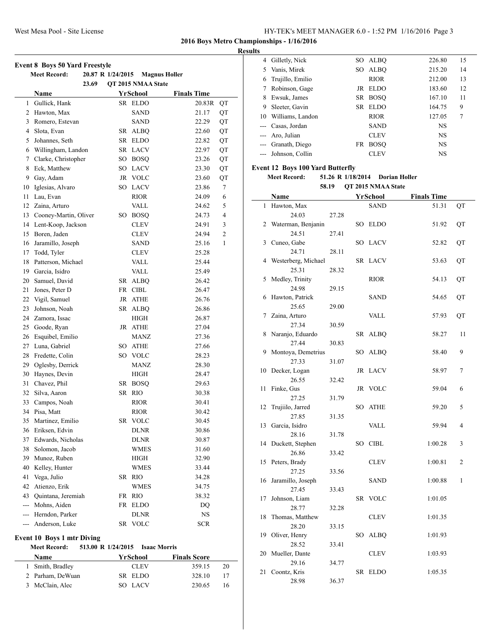| <b>Event 8 Boys 50 Yard Freestyle</b><br><b>Meet Record:</b><br>20.87 R 1/24/2015<br><b>Magnus Holler</b> |                                   |     |                    |                    |                |  |  |  |
|-----------------------------------------------------------------------------------------------------------|-----------------------------------|-----|--------------------|--------------------|----------------|--|--|--|
|                                                                                                           | 23.69                             |     | QT 2015 NMAA State |                    |                |  |  |  |
|                                                                                                           | Name                              |     | YrSchool           | <b>Finals Time</b> |                |  |  |  |
| $\mathbf{1}$                                                                                              | Gullick, Hank                     |     | SR ELDO            | 20.83R             | QT             |  |  |  |
| 2                                                                                                         | Hawton, Max                       |     | SAND               | 21.17              | QT             |  |  |  |
| 3                                                                                                         | Romero, Estevan                   |     | SAND               | 22.29              | QT             |  |  |  |
| 4                                                                                                         | Slota, Evan                       | SR  | <b>ALBQ</b>        | 22.60              | QT             |  |  |  |
| 5                                                                                                         | Johannes, Seth                    | SR  | <b>ELDO</b>        | 22.82              | QT             |  |  |  |
| 6                                                                                                         | Willingham, Landon                |     | SR LACV            | 22.97              | QT             |  |  |  |
| 7                                                                                                         | Clarke, Christopher               |     | SO BOSQ            | 23.26              | QT             |  |  |  |
| 8                                                                                                         | Eck, Matthew                      |     | SO LACV            | 23.30              | QT             |  |  |  |
|                                                                                                           | 9 Gay, Adam                       |     | JR VOLC            | 23.60              | QT             |  |  |  |
| 10                                                                                                        | Iglesias, Alvaro                  |     | SO LACV            | 23.86              | 7              |  |  |  |
| 11                                                                                                        | Lau, Evan                         |     | RIOR               | 24.09              | 6              |  |  |  |
| 12                                                                                                        | Zaina, Arturo                     |     | VALL               | 24.62              | 5              |  |  |  |
| 13                                                                                                        | Cooney-Martin, Oliver             | SO  | <b>BOSQ</b>        | 24.73              | $\overline{4}$ |  |  |  |
|                                                                                                           | 14 Lent-Koop, Jackson             |     | <b>CLEV</b>        | 24.91              | 3              |  |  |  |
| 15                                                                                                        | Boren, Jaden                      |     | <b>CLEV</b>        | 24.94              | 2              |  |  |  |
| 16                                                                                                        | Jaramillo, Joseph                 |     | SAND               | 25.16              | 1              |  |  |  |
| 17                                                                                                        | Todd, Tyler                       |     | CLEV               | 25.28              |                |  |  |  |
| 18                                                                                                        | Patterson, Michael                |     | <b>VALL</b>        | 25.44              |                |  |  |  |
|                                                                                                           | 19 Garcia, Isidro                 |     | VALL               | 25.49              |                |  |  |  |
| 20                                                                                                        | Samuel, David                     |     | SR ALBQ            | 26.42              |                |  |  |  |
| 21                                                                                                        | Jones, Peter D                    |     | FR CIBL            | 26.47              |                |  |  |  |
| 22                                                                                                        | Vigil, Samuel                     |     | JR ATHE            | 26.76              |                |  |  |  |
| 23                                                                                                        | Johnson, Noah                     |     | SR ALBQ            | 26.86              |                |  |  |  |
| 24                                                                                                        | Zamora, Issac                     |     | HIGH               | 26.87              |                |  |  |  |
| 25                                                                                                        | Goode, Ryan                       |     | JR ATHE            | 27.04              |                |  |  |  |
| 26                                                                                                        | Esquibel, Emilio                  |     | MANZ               | 27.36              |                |  |  |  |
|                                                                                                           | 27 Luna, Gabriel                  | SO. | <b>ATHE</b>        | 27.66              |                |  |  |  |
| 28                                                                                                        | Fredette, Colin                   |     | SO VOLC            | 28.23              |                |  |  |  |
|                                                                                                           | 29 Oglesby, Derrick               |     | MANZ               | 28.30              |                |  |  |  |
| 30                                                                                                        | Haynes, Devin                     |     | HIGH               | 28.47              |                |  |  |  |
| 31                                                                                                        | Chavez, Phil                      |     | SR BOSO            | 29.63              |                |  |  |  |
| 32                                                                                                        | Silva, Aaron                      |     | SR RIO             | 30.38              |                |  |  |  |
| 33                                                                                                        | Campos, Noah                      |     | RIOR               | 30.41              |                |  |  |  |
| 34                                                                                                        | Pisa, Matt                        |     | RIOR               | 30.42              |                |  |  |  |
| 35                                                                                                        | Martinez, Emilio                  | SR  | <b>VOLC</b>        | 30.45              |                |  |  |  |
| 36                                                                                                        | Eriksen, Edvin                    |     | <b>DLNR</b>        | 30.86              |                |  |  |  |
| 37                                                                                                        | Edwards, Nicholas                 |     | <b>DLNR</b>        | 30.87              |                |  |  |  |
| 38                                                                                                        | Solomon, Jacob                    |     | WMES               | 31.60              |                |  |  |  |
| 39                                                                                                        | Munoz, Ruben                      |     | HIGH               | 32.90              |                |  |  |  |
| 40                                                                                                        | Kelley, Hunter                    |     | WMES               | 33.44              |                |  |  |  |
| 41                                                                                                        | Vega, Julio                       | SR  | <b>RIO</b>         | 34.28              |                |  |  |  |
| 42                                                                                                        | Atienzo, Erik                     |     | WMES               | 34.75              |                |  |  |  |
|                                                                                                           | 43 Quintana, Jeremiah             | FR  | <b>RIO</b>         | 38.32              |                |  |  |  |
|                                                                                                           | --- Mohns, Aiden                  | FR  | ELDO               | DQ                 |                |  |  |  |
|                                                                                                           | --- Herndon, Parker               |     | DLNR               | <b>NS</b>          |                |  |  |  |
|                                                                                                           | --- Anderson, Luke                |     | SR VOLC            | <b>SCR</b>         |                |  |  |  |
|                                                                                                           |                                   |     |                    |                    |                |  |  |  |
|                                                                                                           | <b>Event 10 Boys 1 mtr Diving</b> |     |                    |                    |                |  |  |  |

**Meet Record: 513.00 R 1/24/2015 Isaac Morris**

**Name Yr School Finals Score** Smith, Bradley CLEV 359.15 20 Parham, DeWuan SR ELDO 328.10 17 3 McClain, Alec SO LACV 230.65 16

| <b>Results</b> |                    |     |             |           |    |  |
|----------------|--------------------|-----|-------------|-----------|----|--|
|                | 4 Gilletly, Nick   | SO  | ALBO        | 226.80    | 15 |  |
| 5.             | Vanis, Mirek       | SO. | ALBO        | 215.20    | 14 |  |
| 6              | Trujillo, Emilio   |     | <b>RIOR</b> | 212.00    | 13 |  |
|                | Robinson, Gage     |     | JR ELDO     | 183.60    | 12 |  |
| 8              | Ewsuk, James       |     | SR BOSO     | 167.10    | 11 |  |
| 9.             | Sleeter, Gavin     | SR. | EL DO       | 164.75    | 9  |  |
| 10             | Williams, Landon   |     | <b>RIOR</b> | 127.05    | 7  |  |
|                | --- Casas, Jordan  |     | <b>SAND</b> | <b>NS</b> |    |  |
|                | --- Aro, Julian    |     | <b>CLEV</b> | <b>NS</b> |    |  |
|                | --- Granath, Diego | FR  | <b>BOSO</b> | <b>NS</b> |    |  |
| $---$          | Johnson, Collin    |     | <b>CLEV</b> | <b>NS</b> |    |  |
|                |                    |     |             |           |    |  |

# **Event 12 Boys 100 Yard Butterfly**

## **Meet Record: 51.26 R 1/18/2014 Dorian Holler**

**58.19 QT 2015 NMAA State**

|    | Name                |       |     | YrSchool    | <b>Finals Time</b> |    |
|----|---------------------|-------|-----|-------------|--------------------|----|
| 1  | Hawton, Max         |       |     | <b>SAND</b> | 51.31              | QT |
|    | 24.03               | 27.28 |     |             |                    |    |
| 2  | Waterman, Benjanin  |       | SO  | <b>ELDO</b> | 51.92              | QT |
|    | 24.51               | 27.41 |     |             |                    |    |
| 3  | Cuneo, Gabe         |       |     | SO LACV     | 52.82              | QT |
|    | 24.71               | 28.11 |     |             |                    |    |
| 4  | Westerberg, Michael |       |     | SR LACV     | 53.63              | QT |
|    | 25.31               | 28.32 |     |             |                    |    |
| 5  | Medley, Trinity     |       |     | <b>RIOR</b> | 54.13              | QT |
|    | 24.98               | 29.15 |     |             |                    |    |
| 6  | Hawton, Patrick     |       |     | SAND        | 54.65              | QT |
|    | 25.65               | 29.00 |     |             |                    |    |
| 7  | Zaina, Arturo       |       |     | VALL        | 57.93              | QT |
|    | 27.34               | 30.59 |     |             |                    |    |
| 8  | Naranjo, Eduardo    |       | SR  | <b>ALBQ</b> | 58.27              | 11 |
|    | 27.44               | 30.83 |     |             |                    |    |
| 9  | Montoya, Demetrius  |       |     | SO ALBQ     | 58.40              | 9  |
|    | 27.33               | 31.07 |     |             |                    |    |
| 10 | Decker, Logan       |       |     | JR LACV     | 58.97              | 7  |
|    | 26.55               | 32.42 |     |             |                    |    |
| 11 | Finke, Gus          |       | JR  | <b>VOLC</b> | 59.04              | 6  |
|    | 27.25               | 31.79 |     |             |                    |    |
| 12 | Trujiilo, Jarred    |       | SO  | <b>ATHE</b> | 59.20              | 5  |
|    | 27.85               | 31.35 |     |             |                    |    |
| 13 | Garcia, Isidro      |       |     | VALL        | 59.94              | 4  |
|    | 28.16               | 31.78 |     |             |                    |    |
| 14 | Duckett, Stephen    |       | SO. | <b>CIBL</b> | 1:00.28            | 3  |
|    | 26.86               | 33.42 |     |             |                    |    |
| 15 | Peters, Brady       |       |     | <b>CLEV</b> | 1:00.81            | 2  |
|    | 27.25               | 33.56 |     |             |                    |    |
| 16 | Jaramillo, Joseph   |       |     | SAND        | 1:00.88            | 1  |
|    | 27.45               | 33.43 |     |             |                    |    |
| 17 | Johnson, Liam       |       | SR  | <b>VOLC</b> | 1:01.05            |    |
|    | 28.77               | 32.28 |     |             |                    |    |
| 18 | Thomas, Matthew     |       |     | <b>CLEV</b> | 1:01.35            |    |
|    | 28.20               | 33.15 |     |             |                    |    |
| 19 | Oliver, Henry       |       | SO. | <b>ALBQ</b> | 1:01.93            |    |
|    | 28.52               | 33.41 |     |             |                    |    |
| 20 | Mueller, Dante      |       |     | <b>CLEV</b> | 1:03.93            |    |
|    | 29.16               | 34.77 |     |             |                    |    |
| 21 | Coontz, Kris        |       | SR  | <b>ELDO</b> | 1:05.35            |    |
|    | 28.98               | 36.37 |     |             |                    |    |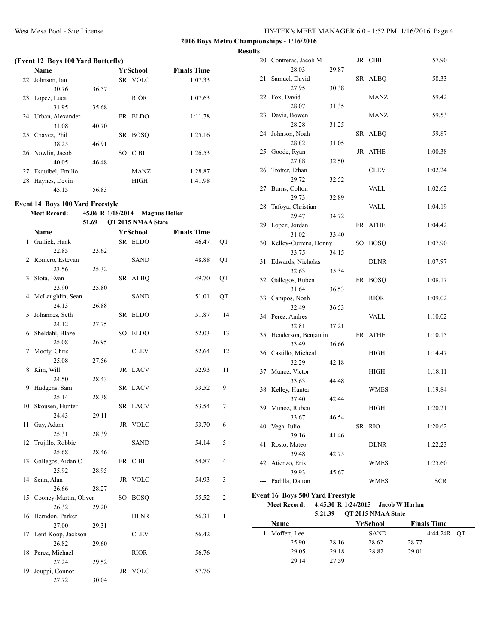**Results**

 $\frac{1}{2}$ 

|    | (Event 12 Boys 100 Yard Butterfly) |       |     |             |                    |  |  |  |  |  |
|----|------------------------------------|-------|-----|-------------|--------------------|--|--|--|--|--|
|    | Name                               |       |     | YrSchool    | <b>Finals Time</b> |  |  |  |  |  |
| 22 | Johnson, Ian                       |       |     | SR VOLC     | 1:07.33            |  |  |  |  |  |
|    | 30.76                              | 36.57 |     |             |                    |  |  |  |  |  |
|    | 23 Lopez, Luca                     |       |     | <b>RIOR</b> | 1:07.63            |  |  |  |  |  |
|    | 31.95                              | 35.68 |     |             |                    |  |  |  |  |  |
| 24 | Urban, Alexander                   |       |     | FR ELDO     | 1:11.78            |  |  |  |  |  |
|    | 31.08                              | 40.70 |     |             |                    |  |  |  |  |  |
| 25 | Chavez, Phil                       |       | SR. | <b>BOSO</b> | 1:25.16            |  |  |  |  |  |
|    | 38.25                              | 46.91 |     |             |                    |  |  |  |  |  |
|    | 26 Nowlin, Jacob                   |       | SO. | CIBL        | 1:26.53            |  |  |  |  |  |
|    | 40.05                              | 46.48 |     |             |                    |  |  |  |  |  |
| 27 | Esquibel, Emilio                   |       |     | <b>MANZ</b> | 1:28.87            |  |  |  |  |  |
| 28 | Haynes, Devin                      |       |     | <b>HIGH</b> | 1:41.98            |  |  |  |  |  |
|    | 45.15                              | 56.83 |     |             |                    |  |  |  |  |  |

# **Event 14 Boys 100 Yard Freestyle**

## **Meet Record: 45.06 R 1/18/2014 Magnus Holler**

**51.69 QT 2015 NMAA State**

|     | Name                  |       |    | <b>YrSchool</b> | <b>Finals Time</b> |    |
|-----|-----------------------|-------|----|-----------------|--------------------|----|
|     | 1 Gullick, Hank       |       |    | SR ELDO         | 46.47              | QT |
|     | 22.85                 | 23.62 |    |                 |                    |    |
|     | 2 Romero, Estevan     |       |    | <b>SAND</b>     | 48.88              | QT |
|     | 23.56                 | 25.32 |    |                 |                    |    |
| 3   | Slota, Evan           |       |    | SR ALBQ         | 49.70              | QT |
|     | 23.90                 | 25.80 |    |                 |                    |    |
| 4   | McLaughlin, Sean      |       |    | SAND            | 51.01              | QT |
|     | 24.13                 | 26.88 |    |                 |                    |    |
| 5   | Johannes, Seth        |       | SR | <b>ELDO</b>     | 51.87              | 14 |
|     | 24.12                 | 27.75 |    |                 |                    |    |
|     | 6 Sheldahl, Blaze     |       | SO | <b>ELDO</b>     | 52.03              | 13 |
|     | 25.08                 | 26.95 |    |                 |                    |    |
| 7   | Mooty, Chris          |       |    | <b>CLEV</b>     | 52.64              | 12 |
|     | 25.08                 | 27.56 |    |                 |                    |    |
| 8   | Kim, Will             |       |    | JR LACV         | 52.93              | 11 |
|     | 24.50                 | 28.43 |    |                 |                    |    |
| 9   | Hudgens, Sam          |       |    | SR LACV         | 53.52              | 9  |
|     | 25.14                 | 28.38 |    |                 |                    |    |
| 10  | Skousen, Hunter       |       |    | SR LACV         | 53.54              | 7  |
|     | 24.43                 | 29.11 |    |                 |                    |    |
| 11  | Gay, Adam             |       |    | JR VOLC         | 53.70              | 6  |
|     | 25.31                 | 28.39 |    |                 |                    |    |
| 12  | Trujillo, Robbie      |       |    | SAND            | 54.14              | 5  |
|     | 25.68                 | 28.46 |    |                 |                    |    |
| 13  | Gallegos, Aidan C     |       |    | FR CIBL         | 54.87              | 4  |
|     | 25.92                 | 28.95 |    |                 |                    |    |
| 14  | Senn, Alan            |       |    | JR VOLC         | 54.93              | 3  |
|     | 26.66                 | 28.27 |    |                 |                    |    |
| 15  | Cooney-Martin, Oliver |       | SO | <b>BOSQ</b>     | 55.52              | 2  |
|     | 26.32                 | 29.20 |    |                 |                    |    |
|     | 16 Herndon, Parker    |       |    | <b>DLNR</b>     | 56.31              | 1  |
|     | 27.00                 | 29.31 |    |                 |                    |    |
|     | 17 Lent-Koop, Jackson |       |    | <b>CLEV</b>     | 56.42              |    |
|     | 26.82                 | 29.60 |    |                 |                    |    |
|     | 18 Perez, Michael     |       |    | <b>RIOR</b>     | 56.76              |    |
|     | 27.24                 | 29.52 |    |                 |                    |    |
| 19. | Jouppi, Connor        |       |    | JR VOLC         | 57.76              |    |
|     | 27.72                 | 30.04 |    |                 |                    |    |

|     | 20 Contreras, Jacob M                           |       |    | JR CIBL     | 57.90      |
|-----|-------------------------------------------------|-------|----|-------------|------------|
|     | 28.03                                           | 29.87 |    |             |            |
| 21  | Samuel, David                                   |       |    | SR ALBQ     | 58.33      |
|     | 27.95                                           | 30.38 |    |             |            |
|     | 22 Fox, David                                   |       |    | MANZ        | 59.42      |
|     | 28.07                                           | 31.35 |    |             |            |
| 23  | Davis, Bowen                                    |       |    | MANZ        | 59.53      |
|     | 28.28                                           | 31.25 |    |             |            |
| 24  | Johnson, Noah                                   |       | SR | <b>ALBQ</b> | 59.87      |
|     | 28.82                                           | 31.05 |    |             |            |
| 25  | Goode, Ryan                                     |       |    | JR ATHE     | 1:00.38    |
|     | 27.88                                           | 32.50 |    |             |            |
| 26  | Trotter, Ethan                                  |       |    | <b>CLEV</b> | 1:02.24    |
|     | 29.72                                           | 32.52 |    |             |            |
| 27  | Burns, Colton                                   |       |    | VALL        | 1:02.62    |
|     | 29.73                                           | 32.89 |    |             |            |
| 28  | Tafoya, Christian                               |       |    | VALL        | 1:04.19    |
|     | 29.47                                           | 34.72 |    |             |            |
| 29  | Lopez, Jordan                                   |       |    | FR ATHE     | 1:04.42    |
|     | 31.02                                           | 33.40 |    |             |            |
|     | 30 Kelley-Currens, Donny                        |       |    | SO BOSQ     | 1:07.90    |
|     | 33.75                                           | 34.15 |    |             |            |
| 31  | Edwards, Nicholas                               |       |    | DLNR        | 1:07.97    |
|     | 32.63                                           | 35.34 |    |             |            |
| 32  | Gallegos, Ruben                                 |       |    | FR BOSQ     | 1:08.17    |
|     | 31.64                                           | 36.53 |    |             |            |
| 33  | Campos, Noah                                    |       |    | RIOR        | 1:09.02    |
|     | 32.49                                           | 36.53 |    |             |            |
|     | 34 Perez, Andres                                |       |    | VALL        | 1:10.02    |
|     | 32.81                                           | 37.21 |    |             |            |
| 35  | Henderson, Benjamin                             |       |    | FR ATHE     | 1:10.15    |
|     | 33.49                                           | 36.66 |    |             |            |
|     | 36 Castillo, Micheal                            |       |    | HIGH        | 1:14.47    |
|     | 32.29                                           | 42.18 |    |             |            |
| 37  | Munoz, Victor                                   |       |    | HIGH        | 1:18.11    |
|     | 33.63                                           | 44.48 |    |             |            |
|     | 38 Kelley, Hunter                               |       |    | WMES        | 1:19.84    |
|     | 37.40                                           | 42.44 |    |             |            |
| 39  | Munoz, Ruben                                    | 46.54 |    | HIGH        | 1:20.21    |
|     | 33.67                                           |       |    |             |            |
|     | 40 Vega, Julio<br>39.16                         |       |    | SR RIO      | 1:20.62    |
| 41  | Rosto, Mateo                                    | 41.46 |    | DLNR        | 1:22.23    |
|     | 39.48                                           | 42.75 |    |             |            |
| 42  | Atienzo, Erik                                   |       |    | <b>WMES</b> | 1:25.60    |
|     | 39.93                                           | 45.67 |    |             |            |
| --- | Padilla, Dalton                                 |       |    | <b>WMES</b> | <b>SCR</b> |
|     |                                                 |       |    |             |            |
|     | Event 16 Boys 500 Yard Freestyle                |       |    |             |            |
|     | Meet Record: 4:45.30 R 1/24/2015 Jacob W Harlan |       |    |             |            |

**5:21.39 QT 2015 NMAA State**

| <b>Name</b>  |       | YrSchool    | <b>Finals Time</b> |
|--------------|-------|-------------|--------------------|
| Moffett, Lee |       | <b>SAND</b> | 4:44.24R OT        |
| 25.90        | 28.16 | 28.62       | 28.77              |
| 29.05        | 29.18 | 28.82       | 29.01              |
| 29.14        | 27.59 |             |                    |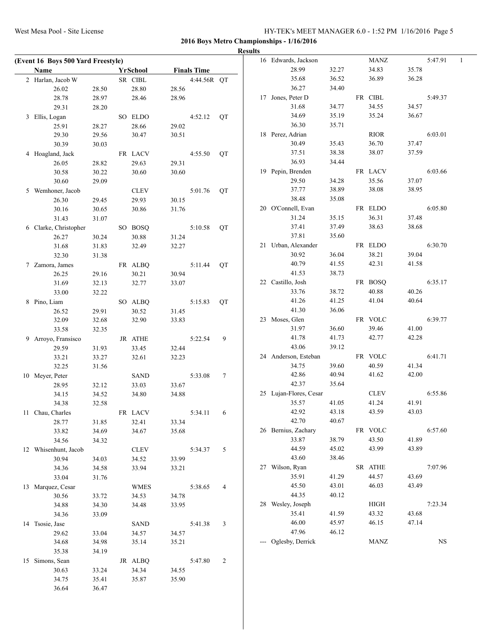| (Event 16 Boys 500 Yard Freestyle) |                |                |                |                    |                 | <b>Results</b> | 16 Edwards, Jackson    |                | <b>MANZ</b> |       | 5:47.91   | 1 |
|------------------------------------|----------------|----------------|----------------|--------------------|-----------------|----------------|------------------------|----------------|-------------|-------|-----------|---|
| Name                               |                | YrSchool       |                | <b>Finals Time</b> |                 |                | 28.99                  | 32.27          | 34.83       | 35.78 |           |   |
| 2 Harlan, Jacob W                  |                | SR CIBL        |                | 4:44.56R QT        |                 |                | 35.68                  | 36.52          | 36.89       | 36.28 |           |   |
| 26.02                              | 28.50          | 28.80          | 28.56          |                    |                 |                | 36.27                  | 34.40          |             |       |           |   |
| 28.78                              | 28.97          | 28.46          | 28.96          |                    |                 |                | 17 Jones, Peter D      |                | FR CIBL     |       | 5:49.37   |   |
| 29.31                              | 28.20          |                |                |                    |                 |                | 31.68                  | 34.77          | 34.55       | 34.57 |           |   |
| 3 Ellis, Logan                     |                | SO ELDO        |                | 4:52.12            | QT              |                | 34.69                  | 35.19          | 35.24       | 36.67 |           |   |
| 25.91                              | 28.27          | 28.66          | 29.02          |                    |                 |                | 36.30                  | 35.71          |             |       |           |   |
| 29.30                              | 29.56          | 30.47          | 30.51          |                    |                 |                | 18 Perez, Adrian       |                | <b>RIOR</b> |       | 6:03.01   |   |
| 30.39                              | 30.03          |                |                |                    |                 |                | 30.49                  | 35.43          | 36.70       | 37.47 |           |   |
|                                    |                |                |                | 4:55.50            |                 |                | 37.51                  | 38.38          | 38.07       | 37.59 |           |   |
| 4 Hoagland, Jack                   |                | FR LACV        |                |                    | QT              |                | 36.93                  | 34.44          |             |       |           |   |
| 26.05                              | 28.82<br>30.22 | 29.63<br>30.60 | 29.31<br>30.60 |                    |                 |                | 19 Pepin, Brenden      |                | FR LACV     |       | 6:03.66   |   |
| 30.58                              |                |                |                |                    |                 |                | 29.50                  | 34.28          | 35.56       | 37.07 |           |   |
| 30.60                              | 29.09          |                |                |                    |                 |                | 37.77                  | 38.89          | 38.08       | 38.95 |           |   |
| 5 Wemhoner, Jacob                  |                | <b>CLEV</b>    |                | 5:01.76            | QT              |                | 38.48                  | 35.08          |             |       |           |   |
| 26.30                              | 29.45          | 29.93          | 30.15          |                    |                 |                | 20 O'Connell, Evan     |                | FR ELDO     |       | 6:05.80   |   |
| 30.16                              | 30.65          | 30.86          | 31.76          |                    |                 |                | 31.24                  | 35.15          | 36.31       | 37.48 |           |   |
| 31.43                              | 31.07          |                |                |                    |                 |                | 37.41                  |                | 38.63       | 38.68 |           |   |
| 6 Clarke, Christopher              |                | SO BOSQ        |                | 5:10.58            | QT              |                | 37.81                  | 37.49<br>35.60 |             |       |           |   |
| 26.27                              | 30.24          | 30.88          | 31.24          |                    |                 |                |                        |                |             |       |           |   |
| 31.68                              | 31.83          | 32.49          | 32.27          |                    |                 |                | 21 Urban, Alexander    |                | FR ELDO     |       | 6:30.70   |   |
| 32.30                              | 31.38          |                |                |                    |                 |                | 30.92                  | 36.04          | 38.21       | 39.04 |           |   |
| 7 Zamora, James                    |                | FR ALBQ        |                | 5:11.44            | <b>OT</b>       |                | 40.79                  | 41.55          | 42.31       | 41.58 |           |   |
| 26.25                              | 29.16          | 30.21          | 30.94          |                    |                 |                | 41.53                  | 38.73          |             |       |           |   |
| 31.69                              | 32.13          | 32.77          | 33.07          |                    |                 |                | 22 Castillo, Josh      |                | FR BOSQ     |       | 6:35.17   |   |
| 33.00                              | 32.22          |                |                |                    |                 |                | 33.76                  | 38.72          | 40.88       | 40.26 |           |   |
| 8 Pino, Liam                       |                | SO ALBQ        |                | 5:15.83            | QT              |                | 41.26                  | 41.25          | 41.04       | 40.64 |           |   |
| 26.52                              | 29.91          | 30.52          | 31.45          |                    |                 |                | 41.30                  | 36.06          |             |       |           |   |
| 32.09                              | 32.68          | 32.90          | 33.83          |                    |                 |                | 23 Moses, Glen         |                | FR VOLC     |       | 6:39.77   |   |
| 33.58                              | 32.35          |                |                |                    |                 |                | 31.97                  | 36.60          | 39.46       | 41.00 |           |   |
| 9 Arroyo, Fransisco                |                | JR ATHE        |                | 5:22.54            | 9               |                | 41.78                  | 41.73          | 42.77       | 42.28 |           |   |
| 29.59                              | 31.93          | 33.45          | 32.44          |                    |                 |                | 43.06                  | 39.12          |             |       |           |   |
| 33.21                              | 33.27          | 32.61          | 32.23          |                    |                 |                | 24 Anderson, Esteban   |                | FR VOLC     |       | 6:41.71   |   |
| 32.25                              | 31.56          |                |                |                    |                 |                | 34.75                  | 39.60          | 40.59       | 41.34 |           |   |
| 10 Meyer, Peter                    |                | <b>SAND</b>    |                | 5:33.08            | $7\phantom{.0}$ |                | 42.86                  | 40.94          | 41.62       | 42.00 |           |   |
| 28.95                              | 32.12          | 33.03          | 33.67          |                    |                 |                | 42.37                  | 35.64          |             |       |           |   |
| 34.15                              | 34.52          | 34.80          | 34.88          |                    |                 |                | 25 Lujan-Flores, Cesar |                | <b>CLEV</b> |       | 6:55.86   |   |
| 34.38                              | 32.58          |                |                |                    |                 |                | 35.57                  | 41.05          | 41.24       | 41.91 |           |   |
| 11 Chau, Charles                   |                | FR LACV        |                | 5:34.11            | 6               |                | 42.92                  | 43.18          | 43.59       | 43.03 |           |   |
| 28.77                              | 31.85          | 32.41          | 33.34          |                    |                 |                | 42.70                  | 40.67          |             |       |           |   |
| 33.82                              | 34.69          | 34.67          | 35.68          |                    |                 |                | 26 Bernius, Zachary    |                | FR VOLC     |       | 6:57.60   |   |
| 34.56                              | 34.32          |                |                |                    |                 |                | 33.87                  | 38.79          | 43.50       | 41.89 |           |   |
| 12 Whisenhunt, Jacob               |                | <b>CLEV</b>    |                | 5:34.37            | 5               |                | 44.59                  | 45.02          | 43.99       | 43.89 |           |   |
| 30.94                              | 34.03          | 34.52          | 33.99          |                    |                 |                | 43.60                  | 38.46          |             |       |           |   |
| 34.36                              | 34.58          | 33.94          | 33.21          |                    |                 |                | 27 Wilson, Ryan        |                | SR ATHE     |       | 7:07.96   |   |
| 33.04                              | 31.76          |                |                |                    |                 |                | 35.91                  | 41.29          | 44.57       | 43.69 |           |   |
| 13 Marquez, Cesar                  |                | <b>WMES</b>    |                | 5:38.65            | $\overline{4}$  |                | 45.50                  | 43.01          | 46.03       | 43.49 |           |   |
| 30.56                              | 33.72          | 34.53          | 34.78          |                    |                 |                | 44.35                  | 40.12          |             |       |           |   |
| 34.88                              | 34.30          | 34.48          | 33.95          |                    |                 |                | 28 Wesley, Joseph      |                | <b>HIGH</b> |       | 7:23.34   |   |
| 34.36                              | 33.09          |                |                |                    |                 |                | 35.41                  | 41.59          | 43.32       | 43.68 |           |   |
| 14 Tsosie, Jase                    |                | <b>SAND</b>    |                | 5:41.38            | $\mathbf{3}$    |                | 46.00                  | 45.97          | 46.15       | 47.14 |           |   |
| 29.62                              | 33.04          | 34.57          | 34.57          |                    |                 |                | 47.96                  | 46.12          |             |       |           |   |
| 34.68                              | 34.98          | 35.14          | 35.21          |                    |                 |                | --- Oglesby, Derrick   |                | MANZ        |       | <b>NS</b> |   |
| 35.38                              | 34.19          |                |                |                    |                 |                |                        |                |             |       |           |   |
| 15 Simons, Sean                    |                | JR ALBQ        |                | 5:47.80            | 2               |                |                        |                |             |       |           |   |
| 30.63                              | 33.24          | 34.34          | 34.55          |                    |                 |                |                        |                |             |       |           |   |
| 34.75                              | 35.41          | 35.87          | 35.90          |                    |                 |                |                        |                |             |       |           |   |
| 36.64                              | 36.47          |                |                |                    |                 |                |                        |                |             |       |           |   |
|                                    |                |                |                |                    |                 |                |                        |                |             |       |           |   |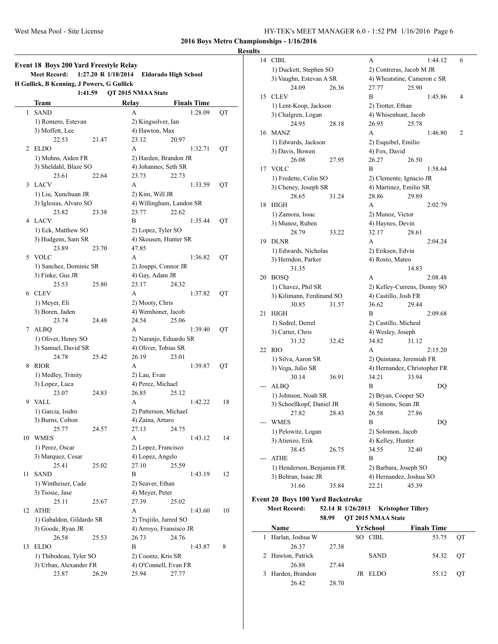#### **Results**

|                               | <b>Event 18 Boys 200 Yard Freestyle Relay</b><br><b>Meet Record:</b> | 1:27.20 R 1/18/2014 |                        | <b>Eldorado High School</b> |    |  |  |
|-------------------------------|----------------------------------------------------------------------|---------------------|------------------------|-----------------------------|----|--|--|
|                               | H Gullick, B Kenning, J Powers, G Gullick                            |                     |                        |                             |    |  |  |
| 1:41.59<br>QT 2015 NMAA State |                                                                      |                     |                        |                             |    |  |  |
|                               | Team                                                                 |                     | Relay                  | <b>Finals Time</b>          |    |  |  |
| 1                             | <b>SAND</b>                                                          |                     | A                      | 1:28.09                     | QT |  |  |
|                               | 1) Romero, Estevan                                                   |                     | 2) Kingsolver, Ian     |                             |    |  |  |
|                               | 3) Moffett, Lee                                                      |                     | 4) Hawton, Max         |                             |    |  |  |
|                               | 22.53                                                                | 21.47               | 23.12                  | 20.97                       |    |  |  |
| 2                             | ELDO                                                                 |                     | A                      | 1:32.71                     | QT |  |  |
|                               | 1) Mohns, Aiden FR                                                   |                     |                        | 2) Harden, Brandon JR       |    |  |  |
|                               | 3) Sheldahl, Blaze SO                                                |                     | 4) Johannes, Seth SR   |                             |    |  |  |
|                               | 23.61                                                                | 22.64               | 23.73                  | 22.73                       |    |  |  |
| 3                             | <b>LACV</b>                                                          |                     | A                      | 1:33.59                     | QT |  |  |
|                               | 1) Liu, Xunchuan JR                                                  |                     | 2) Kim, Will JR        |                             |    |  |  |
|                               | 3) Iglesias, Alvaro SO                                               |                     |                        | 4) Willingham, Landon SR    |    |  |  |
|                               | 23.82                                                                | 23.38               | 23.77                  | 22.62                       |    |  |  |
| 4                             | <b>LACV</b>                                                          |                     | B                      | 1:35.44                     | QT |  |  |
|                               | 1) Eck, Matthew SO                                                   |                     | 2) Lopez, Tyler SO     |                             |    |  |  |
|                               | 3) Hudgens, Sam SR                                                   |                     |                        | 4) Skousen, Hunter SR       |    |  |  |
|                               | 23.89                                                                | 23.70               | 47.85                  |                             |    |  |  |
| 5                             | <b>VOLC</b>                                                          |                     | A                      | 1:36.82                     | QT |  |  |
|                               | 1) Sanchez, Dominic SR                                               |                     | 2) Jouppi, Connor JR   |                             |    |  |  |
|                               | 3) Finke, Gus JR                                                     |                     | 4) Gay, Adam JR        |                             |    |  |  |
|                               | 23.53                                                                | 25.80               | 23.17                  | 24.32                       |    |  |  |
| 6                             | <b>CLEV</b>                                                          |                     | A                      | 1:37.82                     | QT |  |  |
|                               | 1) Meyer, Eli                                                        |                     | 2) Mooty, Chris        |                             |    |  |  |
|                               | 3) Boren, Jaden                                                      |                     | 4) Wemhoner, Jacob     |                             |    |  |  |
|                               | 23.74                                                                | 24.48               | 24.54                  | 25.06                       |    |  |  |
| 7                             | ALBQ                                                                 |                     | A                      | 1:39.40                     | QT |  |  |
|                               | 1) Oliver, Henry SO                                                  |                     |                        | 2) Naranjo, Eduardo SR      |    |  |  |
|                               | 3) Samuel, David SR                                                  |                     | 4) Oliver, Tobias SR   |                             |    |  |  |
|                               | 24.78                                                                | 25.42               | 26.19                  | 23.01                       |    |  |  |
| 8                             | <b>RIOR</b>                                                          |                     | A                      | 1:39.87                     | QT |  |  |
|                               | 1) Medley, Trinity                                                   |                     | 2) Lau, Evan           |                             |    |  |  |
|                               | 3) Lopez, Luca                                                       |                     | 4) Perez, Michael      |                             |    |  |  |
|                               | 23.07                                                                | 24.83               | 26.85                  | 25.12                       |    |  |  |
| 9                             | <b>VALL</b>                                                          |                     | A                      | 1:42.22                     | 18 |  |  |
|                               | 1) Garcia, Isidro                                                    |                     | 2) Patterson, Michael  |                             |    |  |  |
|                               | 3) Burns, Colton                                                     |                     | 4) Zaina, Arturo       |                             |    |  |  |
|                               | 25.77                                                                | 24.57               | 27.13                  | 24.75                       |    |  |  |
| 10                            | WMES                                                                 |                     | A                      | 1:43.12                     | 14 |  |  |
|                               | 1) Perez, Oscar                                                      |                     | 2) Lopez, Francisco    |                             |    |  |  |
|                               | 3) Marquez, Cesar                                                    |                     | 4) Lopez, Angelo       |                             |    |  |  |
|                               | 25.41                                                                | 25.02               | 27.10                  | 25.59                       |    |  |  |
| 11                            | <b>SAND</b>                                                          |                     | B                      | 1:43.19                     | 12 |  |  |
|                               | 1) Wintheiser, Cade                                                  |                     | 2) Seaver, Ethan       |                             |    |  |  |
|                               | 3) Tsosie, Jase                                                      |                     | 4) Meyer, Peter        |                             |    |  |  |
|                               | 25.11                                                                | 25.67               | 27.39                  | 25.02                       |    |  |  |
| 12                            | <b>ATHE</b>                                                          |                     | A                      | 1:43.60                     | 10 |  |  |
|                               | 1) Gabaldon, Gildardo SR                                             |                     | 2) Trujiilo, Jarred SO |                             |    |  |  |
|                               | 3) Goode, Ryan JR                                                    |                     |                        | 4) Arroyo, Fransisco JR     |    |  |  |
|                               | 26.58                                                                | 25.53               | 26.73                  | 24.76                       |    |  |  |
| 13                            | <b>ELDO</b>                                                          |                     | B                      | 1:43.87                     | 8  |  |  |
|                               | 1) Thibodeau, Tyler SO                                               |                     | 2) Coontz, Kris SR     |                             |    |  |  |
|                               | 3) Urban, Alexander FR                                               |                     | 4) O'Connell, Evan FR  |                             |    |  |  |
|                               | 23.87                                                                | 26.29               | 25.94                  | 27.77                       |    |  |  |

| 14 | CIBL                      |       | А                            |       | 1:44.12 | 6 |
|----|---------------------------|-------|------------------------------|-------|---------|---|
|    | 1) Duckett, Stephen SO    |       | 2) Contreras, Jacob M JR     |       |         |   |
|    | 3) Vaughn, Estevan A SR   |       | 4) Wheatstine, Cameron c SR  |       |         |   |
|    | 24.09                     | 26.36 | 27.77                        | 25.90 |         |   |
| 15 | <b>CLEV</b>               |       | B                            |       | 1:45.86 | 4 |
|    | 1) Lent-Koop, Jackson     |       | 2) Trotter, Ethan            |       |         |   |
|    | 3) Chalgren, Logan        |       | 4) Whisenhunt, Jacob         |       |         |   |
|    | 24.95                     | 28.18 | 26.95                        | 25.78 |         |   |
| 16 | <b>MANZ</b>               |       | A                            |       | 1:46.80 | 2 |
|    | 1) Edwards, Jackson       |       | 2) Esquibel, Emilio          |       |         |   |
|    | 3) Davis, Bowen           |       | 4) Fox, David                |       |         |   |
|    | 26.08                     | 27.95 | 26.27                        | 26.50 |         |   |
| 17 | VOLC                      |       | B                            |       | 1:58.64 |   |
|    | 1) Fredette, Colin SO     |       | 2) Clemente, Ignacio JR      |       |         |   |
|    | 3) Cheney, Joseph SR      |       | 4) Martinez, Emilio SR       |       |         |   |
|    | 28.65                     | 31.24 | 28.86                        | 29.89 |         |   |
| 18 | <b>HIGH</b>               |       | А                            |       | 2:02.79 |   |
|    | 1) Zamora, Issac          |       | 2) Munoz, Victor             |       |         |   |
|    | 3) Munoz, Ruben           |       | 4) Haynes, Devin             |       |         |   |
|    | 28.79                     | 33.22 | 32.17                        | 28.61 |         |   |
| 19 | <b>DLNR</b>               |       | A                            |       | 2:04.24 |   |
|    | 1) Edwards, Nicholas      |       | 2) Eriksen, Edvin            |       |         |   |
|    | 3) Herndon, Parker        |       | 4) Rosto, Mateo              |       |         |   |
|    | 31.35                     |       |                              | 14.83 |         |   |
| 20 | <b>BOSQ</b>               |       | A                            |       | 2:08.48 |   |
|    | 1) Chavez, Phil SR        |       | 2) Kelley-Currens, Donny SO  |       |         |   |
|    | 3) Kilimann, Ferdinand SO |       | 4) Castillo, Josh FR         |       |         |   |
|    | 30.85                     | 31.57 | 36.62                        | 29.44 |         |   |
| 21 | HIGH                      |       | B                            |       | 2:09.68 |   |
|    | 1) Sedrel, Derrel         |       | 2) Castillo, Micheal         |       |         |   |
|    | 3) Carter, Chris          |       | 4) Wesley, Joseph            |       |         |   |
|    | 31.32                     | 32.42 | 34.82                        | 31.12 |         |   |
| 22 | RIO                       |       | A                            |       | 2:15.20 |   |
|    | 1) Silva, Aaron SR        |       | 2) Quintana, Jeremiah FR     |       |         |   |
|    | 3) Vega, Julio SR         |       | 4) Hernandez, Christopher FR |       |         |   |
|    | 30.14                     | 36.91 | 34.21                        | 33.94 |         |   |
|    | ALBQ                      |       | B                            |       | DQ      |   |
|    | 1) Johnson, Noah SR       |       | 2) Bryan, Cooper SO          |       |         |   |
|    | 3) Schoellkopf, Daniel JR |       | 4) Simons, Sean JR           |       |         |   |
|    | 27.82                     | 28.43 | 26.58                        | 27.86 |         |   |
|    | WMES                      |       | B                            |       | DQ      |   |
|    | 1) Pelowitz, Logan        |       | 2) Solomon, Jacob            |       |         |   |
|    | 3) Atienzo, Erik          |       | 4) Kelley, Hunter            |       |         |   |
|    | 38.45                     | 26.75 | 34.55                        | 32.40 |         |   |
|    | ATHE                      |       | B                            |       | DQ      |   |
|    | 1) Henderson, Benjamin FR |       | 2) Barbara, Joseph SO        |       |         |   |
|    | 3) Beltran, Isaac JR      |       | 4) Hernandez, Joshua SO      |       |         |   |
|    | 31.66                     | 35.84 | 22.21                        | 45.39 |         |   |

# **Event 20 Boys 100 Yard Backstroke**

 $\sim$ 

## **Meet Record: 52.14 R 1/26/2013 Kristopher Tillery 58.99 QT 2015 NMAA State**

| <b>Name</b>       |       |     | YrSchool    | <b>Finals Time</b> |    |
|-------------------|-------|-----|-------------|--------------------|----|
| Harlan, Joshua W  |       | SO. | - CIBL      | 53.75              | ОT |
| 26.37             | 27.38 |     |             |                    |    |
| 2 Hawton, Patrick |       |     | <b>SAND</b> | 54.32              | ОT |
| 26.88             | 27.44 |     |             |                    |    |
| 3 Harden, Brandon |       |     | JR ELDO     | 55.12              | OТ |
| 26.42             | 28.70 |     |             |                    |    |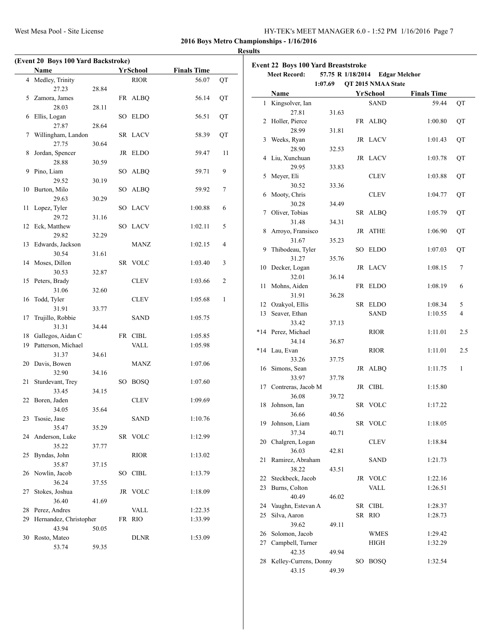| HY-TEK's MEET MANAGER 6.0 - 1:52 PM 1/16/2016 Page 7 |  |  |
|------------------------------------------------------|--|--|
|------------------------------------------------------|--|--|

#### **Results**

|    | <b>Name</b>            |       |    | YrSchool     | <b>Finals Time</b> |    |
|----|------------------------|-------|----|--------------|--------------------|----|
| 4  | Medley, Trinity        |       |    | <b>RIOR</b>  | 56.07              | QT |
|    | 27.23                  | 28.84 |    |              |                    |    |
|    | 5 Zamora, James        |       |    | FR ALBQ      | 56.14              | QT |
|    | 28.03                  | 28.11 |    |              |                    |    |
| 6  | Ellis, Logan           |       |    | SO ELDO      | 56.51              | QT |
|    | 27.87                  | 28.64 |    |              |                    |    |
| 7  | Willingham, Landon     |       |    | SR LACV      | 58.39              | QT |
|    | 27.75                  | 30.64 |    |              |                    |    |
| 8  | Jordan, Spencer        |       |    | JR ELDO      | 59.47              | 11 |
|    | 28.88                  | 30.59 |    |              |                    |    |
| 9  | Pino, Liam             |       |    | SO ALBQ      | 59.71              | 9  |
|    | 29.52                  | 30.19 |    |              |                    |    |
| 10 | Burton, Milo           |       |    | SO ALBQ      | 59.92              | 7  |
|    |                        |       |    |              |                    |    |
|    | 29.63                  | 30.29 |    |              |                    |    |
| 11 | Lopez, Tyler           |       |    | SO LACV      | 1:00.88            | 6  |
|    | 29.72                  | 31.16 |    |              |                    |    |
| 12 | Eck, Matthew           |       |    | SO LACV      | 1:02.11            | 5  |
|    | 29.82                  | 32.29 |    |              |                    |    |
| 13 | Edwards, Jackson       |       |    | MANZ         | 1:02.15            | 4  |
|    | 30.54                  | 31.61 |    |              |                    |    |
| 14 | Moses, Dillon          |       |    | SR VOLC      | 1:03.40            | 3  |
|    | 30.53                  | 32.87 |    |              |                    |    |
| 15 | Peters, Brady          |       |    | CLEV         | 1:03.66            | 2  |
|    | 31.06                  | 32.60 |    |              |                    |    |
| 16 | Todd, Tyler            |       |    | CLEV         | 1:05.68            | 1  |
|    | 31.91                  | 33.77 |    |              |                    |    |
| 17 | Trujillo, Robbie       |       |    | SAND         | 1:05.75            |    |
|    | 31.31                  | 34.44 |    |              |                    |    |
| 18 | Gallegos, Aidan C      |       | FR | ${\rm CIBL}$ | 1:05.85            |    |
| 19 | Patterson, Michael     |       |    | VALL         | 1:05.98            |    |
|    | 31.37                  | 34.61 |    |              |                    |    |
| 20 | Davis, Bowen           |       |    | MANZ         | 1:07.06            |    |
|    | 32.90                  | 34.16 |    |              |                    |    |
| 21 | Sturdevant, Trey       |       |    | SO BOSQ      | 1:07.60            |    |
|    | 33.45                  | 34.15 |    |              |                    |    |
| 22 | Boren, Jaden           |       |    | CLEV         | 1:09.69            |    |
|    | 34.05                  | 35.64 |    |              |                    |    |
| 23 | Tsosie, Jase           |       |    | <b>SAND</b>  | 1:10.76            |    |
|    | 35.47                  | 35.29 |    |              |                    |    |
|    | 24 Anderson, Luke      |       |    | SR VOLC      | 1:12.99            |    |
|    | 35.22                  | 37.77 |    |              |                    |    |
| 25 | Byndas, John           |       |    | RIOR         | 1:13.02            |    |
|    | 35.87                  | 37.15 |    |              |                    |    |
| 26 | Nowlin, Jacob          |       |    | SO CIBL      | 1:13.79            |    |
|    | 36.24                  | 37.55 |    |              |                    |    |
| 27 | Stokes, Joshua         |       |    | JR VOLC      | 1:18.09            |    |
|    | 36.40                  | 41.69 |    |              |                    |    |
|    | 28 Perez, Andres       |       |    | VALL         | 1:22.35            |    |
| 29 | Hernandez, Christopher |       |    | FR RIO       | 1:33.99            |    |
|    | 43.94                  | 50.05 |    |              |                    |    |
|    | Rosto, Mateo           |       |    | DLNR         | 1:53.09            |    |
| 30 |                        |       |    |              |                    |    |

|                                                                            | Event 22 Boys 100 Yard Breaststroke<br><b>Meet Record:</b> |       |  |             |                    |     |  |
|----------------------------------------------------------------------------|------------------------------------------------------------|-------|--|-------------|--------------------|-----|--|
| 57.75 R 1/18/2014<br><b>Edgar Melchor</b><br>1:07.69<br>QT 2015 NMAA State |                                                            |       |  |             |                    |     |  |
|                                                                            | Name                                                       |       |  | YrSchool    | <b>Finals Time</b> |     |  |
| 1                                                                          | Kingsolver, Ian                                            |       |  | <b>SAND</b> | 59.44              | QT  |  |
|                                                                            | 27.81                                                      | 31.63 |  |             |                    |     |  |
|                                                                            | 2 Holler, Pierce                                           |       |  | FR ALBQ     | 1:00.80            | QT  |  |
|                                                                            | 28.99                                                      | 31.81 |  |             |                    |     |  |
| 3                                                                          | Weeks, Ryan                                                |       |  | JR LACV     | 1:01.43            | QT  |  |
|                                                                            | 28.90                                                      | 32.53 |  |             |                    |     |  |
| 4                                                                          | Liu, Xunchuan                                              |       |  | JR LACV     | 1:03.78            | QT  |  |
|                                                                            | 29.95                                                      | 33.83 |  |             |                    |     |  |
| 5                                                                          | Meyer, Eli                                                 |       |  | <b>CLEV</b> | 1:03.88            | QT  |  |
|                                                                            | 30.52                                                      | 33.36 |  |             |                    |     |  |
| 6                                                                          | Mooty, Chris                                               |       |  | <b>CLEV</b> | 1:04.77            | QT  |  |
|                                                                            | 30.28                                                      | 34.49 |  |             |                    |     |  |
| 7                                                                          | Oliver, Tobias                                             |       |  | SR ALBQ     | 1:05.79            | QT  |  |
|                                                                            | 31.48                                                      | 34.31 |  |             |                    |     |  |
| 8                                                                          | Arroyo, Fransisco                                          |       |  | JR ATHE     | 1:06.90            | QT  |  |
|                                                                            | 31.67                                                      | 35.23 |  |             |                    |     |  |
| 9                                                                          | Thibodeau, Tyler                                           |       |  | SO ELDO     | 1:07.03            | QT  |  |
|                                                                            | 31.27                                                      | 35.76 |  |             |                    |     |  |
| 10                                                                         | Decker, Logan                                              |       |  | JR LACV     | 1:08.15            | 7   |  |
|                                                                            | 32.01                                                      | 36.14 |  |             |                    |     |  |
| 11                                                                         | Mohns, Aiden                                               |       |  | FR ELDO     | 1:08.19            | 6   |  |
|                                                                            | 31.91                                                      | 36.28 |  |             |                    |     |  |
|                                                                            | 12 Ozakyol, Ellis                                          |       |  | SR ELDO     | 1:08.34            | 5   |  |
| 13                                                                         | Seaver, Ethan                                              |       |  | SAND        | 1:10.55            | 4   |  |
|                                                                            | 33.42                                                      | 37.13 |  |             |                    |     |  |
|                                                                            | *14 Perez, Michael                                         |       |  | <b>RIOR</b> | 1:11.01            | 2.5 |  |
|                                                                            | 34.14                                                      | 36.87 |  |             |                    |     |  |
|                                                                            | *14 Lau, Evan                                              |       |  | <b>RIOR</b> | 1:11.01            | 2.5 |  |
|                                                                            | 33.26                                                      | 37.75 |  |             |                    |     |  |
|                                                                            | 16 Simons, Sean                                            |       |  | JR ALBQ     | 1:11.75            | 1   |  |
|                                                                            | 33.97                                                      | 37.78 |  |             |                    |     |  |
|                                                                            | 17 Contreras, Jacob M                                      |       |  | JR CIBL     | 1:15.80            |     |  |
|                                                                            | 36.08                                                      | 39.72 |  |             |                    |     |  |
| 18                                                                         | Johnson, Ian                                               |       |  | SR VOLC     | 1:17.22            |     |  |
|                                                                            | 36.66                                                      | 40.56 |  |             |                    |     |  |
| 19                                                                         | Johnson, Liam                                              |       |  | SR VOLC     | 1:18.05            |     |  |
|                                                                            | 37.34                                                      | 40.71 |  |             |                    |     |  |
|                                                                            | 20 Chalgren, Logan                                         |       |  | CLEV        | 1:18.84            |     |  |
|                                                                            | 36.03                                                      | 42.81 |  |             |                    |     |  |
| 21                                                                         | Ramirez, Abraham                                           |       |  | SAND        | 1:21.73            |     |  |
|                                                                            | 38.22                                                      | 43.51 |  |             |                    |     |  |
| 22                                                                         | Steckbeck, Jacob                                           |       |  | JR VOLC     | 1:22.16            |     |  |
| 23                                                                         | Burns, Colton                                              |       |  | VALL        | 1:26.51            |     |  |
|                                                                            | 40.49                                                      | 46.02 |  |             |                    |     |  |
|                                                                            | 24 Vaughn, Estevan A                                       |       |  | SR CIBL     | 1:28.37            |     |  |
| 25                                                                         | Silva, Aaron                                               |       |  | SR RIO      | 1:28.73            |     |  |
|                                                                            | 39.62                                                      | 49.11 |  |             |                    |     |  |
| 26                                                                         | Solomon, Jacob                                             |       |  | WMES        | 1:29.42            |     |  |
| 27                                                                         | Campbell, Turner                                           |       |  | <b>HIGH</b> | 1:32.29            |     |  |
|                                                                            | 42.35                                                      | 49.94 |  |             |                    |     |  |
| 28                                                                         | Kelley-Currens, Donny                                      |       |  | SO BOSQ     | 1:32.54            |     |  |
|                                                                            | 43.15                                                      | 49.39 |  |             |                    |     |  |
|                                                                            |                                                            |       |  |             |                    |     |  |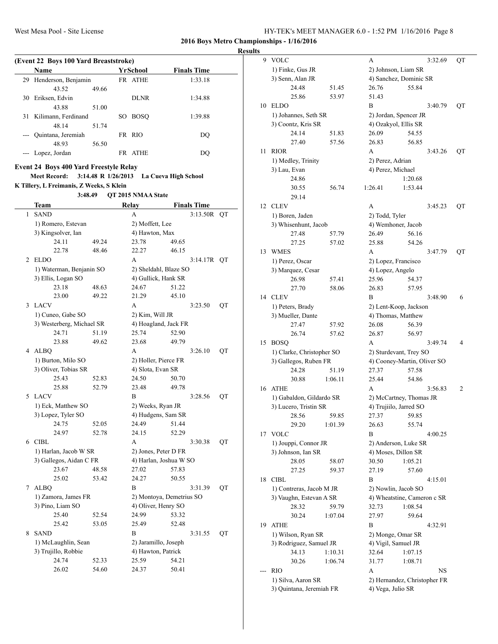**Results (Event 22 Boys 100 Yard Breaststroke) Name Yr School Finals Time** 29 Henderson, Benjamin FR ATHE 1:33.18 30 Eriksen, Edvin DLNR 1:34.88 31 Kilimann, Ferdinand SO BOSQ 1:39.88

# **Event 24 Boys 400 Yard Freestyle Relay**

43.52 49.66

43.88 51.00

48.14 51.74

48.93 56.50

**Meet Record: 3:14.48 R 1/26/2013 La Cueva High School K Tillery, L Freimanis, Z Weeks, S Klein**

--- Quintana, Jeremiah FR RIO DQ

--- Lopez, Jordan FR ATHE DQ

**3:48.49 QT 2015 NMAA State**

|   | Team                      |       | <b>Relay</b>             |       | <b>Finals Time</b> |    |
|---|---------------------------|-------|--------------------------|-------|--------------------|----|
| 1 | <b>SAND</b>               |       | A                        |       | 3:13.50R           | QT |
|   | 1) Romero, Estevan        |       | 2) Moffett, Lee          |       |                    |    |
|   | 3) Kingsolver, Ian        |       | 4) Hawton, Max           |       |                    |    |
|   | 24.11                     | 49.24 | 23.78                    | 49.65 |                    |    |
|   | 22.78                     | 48.46 | 22.27                    | 46.15 |                    |    |
| 2 | <b>ELDO</b>               |       | A                        |       | 3:14.17R QT        |    |
|   | 1) Waterman, Benjanin SO  |       | 2) Sheldahl, Blaze SO    |       |                    |    |
|   | 3) Ellis, Logan SO        |       | 4) Gullick, Hank SR      |       |                    |    |
|   | 23.18                     | 48.63 | 24.67                    | 51.22 |                    |    |
|   | 23.00                     | 49.22 | 21.29                    | 45.10 |                    |    |
| 3 | <b>LACV</b>               |       | A                        |       | 3:23.50            | QT |
|   | 1) Cuneo, Gabe SO         |       | 2) Kim, Will JR          |       |                    |    |
|   | 3) Westerberg, Michael SR |       | 4) Hoagland, Jack FR     |       |                    |    |
|   | 24.71                     | 51.19 | 25.74                    | 52.90 |                    |    |
|   | 23.88                     | 49.62 | 23.68                    | 49.79 |                    |    |
| 4 | ALBQ                      |       | A                        |       | 3:26.10            | QT |
|   | 1) Burton, Milo SO        |       | 2) Holler, Pierce FR     |       |                    |    |
|   | 3) Oliver, Tobias SR      |       | 4) Slota, Evan SR        |       |                    |    |
|   | 25.43                     | 52.83 | 24.50                    | 50.70 |                    |    |
|   | 25.88                     | 52.79 | 23.48                    | 49.78 |                    |    |
| 5 | LACV                      |       | B                        |       | 3:28.56            | QT |
|   | 1) Eck, Matthew SO        |       | 2) Weeks, Ryan JR        |       |                    |    |
|   | 3) Lopez, Tyler SO        |       | 4) Hudgens, Sam SR       |       |                    |    |
|   | 24.75                     | 52.05 | 24.49                    | 51.44 |                    |    |
|   | 24.97                     | 52.78 | 24.15                    | 52.29 |                    |    |
|   | 6 CIBL                    |       | A                        |       | 3:30.38            | QT |
|   | 1) Harlan, Jacob W SR     |       | 2) Jones, Peter D FR     |       |                    |    |
|   | 3) Gallegos, Aidan C FR   |       | 4) Harlan, Joshua W SO   |       |                    |    |
|   | 23.67                     | 48.58 | 27.02                    | 57.83 |                    |    |
|   | 25.02                     | 53.42 | 24.27                    | 50.55 |                    |    |
| 7 | <b>ALBQ</b>               |       | B                        |       | 3:31.39            | QT |
|   | 1) Zamora, James FR       |       | 2) Montoya, Demetrius SO |       |                    |    |
|   | 3) Pino, Liam SO          |       | 4) Oliver, Henry SO      |       |                    |    |
|   | 25.40                     | 52.54 | 24.99                    | 53.32 |                    |    |
|   | 25.42                     | 53.05 | 25.49                    | 52.48 |                    |    |
| 8 | <b>SAND</b>               |       | B                        |       | 3:31.55            | QT |
|   | 1) McLaughlin, Sean       |       | 2) Jaramillo, Joseph     |       |                    |    |
|   | 3) Trujillo, Robbie       |       | 4) Hawton, Patrick       |       |                    |    |
|   | 24.74                     | 52.33 | 25.59                    | 54.21 |                    |    |
|   | 26.02                     | 54.60 | 24.37                    | 50.41 |                    |    |

| 9  | <b>VOLC</b>               |         | A       |                              |         | 3:32.69 | QT |
|----|---------------------------|---------|---------|------------------------------|---------|---------|----|
|    | 1) Finke, Gus JR          |         |         | 2) Johnson, Liam SR          |         |         |    |
|    | 3) Senn, Alan JR          |         |         | 4) Sanchez, Dominic SR       |         |         |    |
|    | 24.48                     | 51.45   |         | 26.76                        | 55.84   |         |    |
|    | 25.86                     | 53.97   |         | 51.43                        |         |         |    |
| 10 | <b>ELDO</b>               |         | В       |                              |         | 3:40.79 | QT |
|    | 1) Johannes, Seth SR      |         |         | 2) Jordan, Spencer JR        |         |         |    |
|    | 3) Coontz, Kris SR        |         |         | 4) Ozakyol, Ellis SR         |         |         |    |
|    | 24.14                     | 51.83   |         | 26.09                        | 54.55   |         |    |
|    | 27.40                     | 57.56   |         | 26.83                        | 56.85   |         |    |
| 11 | <b>RIOR</b>               |         | A       |                              |         | 3:43.26 | QT |
|    | 1) Medley, Trinity        |         |         | 2) Perez, Adrian             |         |         |    |
|    | 3) Lau, Evan              |         |         | 4) Perez, Michael            |         |         |    |
|    | 24.86                     |         |         |                              | 1:20.68 |         |    |
|    | 30.55                     | 56.74   | 1:26.41 |                              | 1:53.44 |         |    |
|    | 29.14                     |         |         |                              |         |         |    |
| 12 | <b>CLEV</b>               |         | A       |                              |         | 3:45.23 | QT |
|    | 1) Boren, Jaden           |         |         | 2) Todd, Tyler               |         |         |    |
|    | 3) Whisenhunt, Jacob      |         |         | 4) Wemhoner, Jacob           |         |         |    |
|    | 27.48                     | 57.79   |         | 26.49                        | 56.16   |         |    |
|    | 27.25                     | 57.02   |         | 25.88                        | 54.26   |         |    |
| 13 | <b>WMES</b>               |         | A       |                              |         | 3:47.79 | QT |
|    | 1) Perez, Oscar           |         |         | 2) Lopez, Francisco          |         |         |    |
|    | 3) Marquez, Cesar         |         |         | 4) Lopez, Angelo             |         |         |    |
|    | 26.98                     | 57.41   |         | 25.96                        | 54.37   |         |    |
|    | 27.70                     | 58.06   |         | 26.83                        | 57.95   |         |    |
| 14 | <b>CLEV</b>               |         | B       |                              |         | 3:48.90 | 6  |
|    | 1) Peters, Brady          |         |         | 2) Lent-Koop, Jackson        |         |         |    |
|    | 3) Mueller, Dante         |         |         | 4) Thomas, Matthew           |         |         |    |
|    | 27.47                     | 57.92   |         | 26.08                        | 56.39   |         |    |
|    | 26.74                     | 57.62   |         | 26.87                        | 56.97   |         |    |
| 15 | <b>BOSQ</b>               |         | A       |                              |         | 3:49.74 | 4  |
|    | 1) Clarke, Christopher SO |         |         | 2) Sturdevant, Trey SO       |         |         |    |
|    | 3) Gallegos, Ruben FR     |         |         | 4) Cooney-Martin, Oliver SO  |         |         |    |
|    | 24.28                     | 51.19   |         | 27.37                        | 57.58   |         |    |
|    | 30.88                     | 1:06.11 |         | 25.44                        | 54.86   |         |    |
| 16 | <b>ATHE</b>               |         | A       |                              |         | 3:56.83 | 2  |
|    | 1) Gabaldon, Gildardo SR  |         |         | 2) McCartney, Thomas JR      |         |         |    |
|    | 3) Lucero, Tristin SR     |         |         | 4) Trujiilo, Jarred SO       |         |         |    |
|    | 28.56                     | 59.85   |         | 27.37                        | 59.85   |         |    |
|    | 29.20                     | 1:01.39 |         | 26.63                        | 55.74   |         |    |
| 17 | <b>VOLC</b>               |         | B       |                              |         | 4:00.25 |    |
|    | 1) Jouppi, Connor JR      |         |         | 2) Anderson, Luke SR         |         |         |    |
|    | 3) Johnson, Ian SR        |         |         | 4) Moses, Dillon SR          |         |         |    |
|    | 28.05                     | 58.07   |         | 30.50                        | 1:05.21 |         |    |
|    | 27.25                     | 59.37   |         | 27.19                        | 57.60   |         |    |
| 18 | <b>CIBL</b>               |         | B       |                              |         | 4:15.01 |    |
|    | 1) Contreras, Jacob M JR  |         |         | 2) Nowlin, Jacob SO          |         |         |    |
|    | 3) Vaughn, Estevan A SR   |         |         | 4) Wheatstine, Cameron c SR  |         |         |    |
|    | 28.32                     | 59.79   |         | 32.73                        | 1:08.54 |         |    |
|    | 30.24                     | 1:07.04 |         | 27.97                        | 59.64   |         |    |
| 19 | <b>ATHE</b>               |         | B       |                              |         | 4:32.91 |    |
|    | 1) Wilson, Ryan SR        |         |         | 2) Monge, Omar SR            |         |         |    |
|    | 3) Rodriguez, Samuel JR   |         |         | 4) Vigil, Samuel JR          |         |         |    |
|    | 34.13                     | 1:10.31 |         | 32.64                        | 1:07.15 |         |    |
|    | 30.26                     | 1:06.74 |         | 31.77                        | 1:08.71 |         |    |
|    | <b>RIO</b>                |         | A       |                              |         | NS      |    |
|    | 1) Silva, Aaron SR        |         |         | 2) Hernandez, Christopher FR |         |         |    |
|    | 3) Quintana, Jeremiah FR  |         |         | 4) Vega, Julio SR            |         |         |    |
|    |                           |         |         |                              |         |         |    |